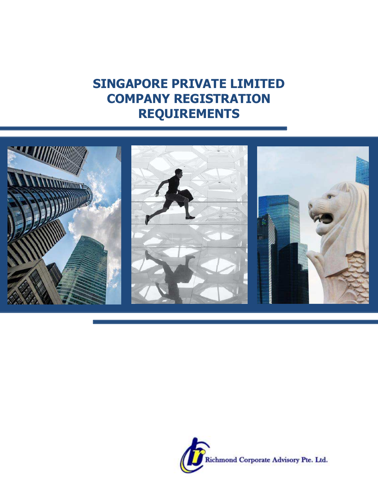# **SINGAPORE PRIVATE LIMITED COMPANY REGISTRATION REQUIREMENTS**



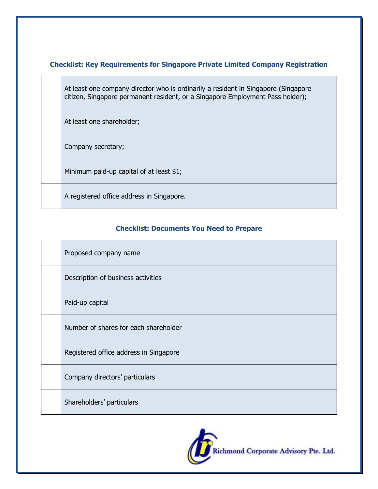### **Checklist: Key Requirements for Singapore Private Limited Company Registration**

At least one company director who is ordinarily a resident in Singapore (Singapore citizen, Singapore permanent resident, or a Singapore Employment Pass holder);

At least one shareholder;

Company secretary;

Minimum paid-up capital of at least \$1;

A registered office address in Singapore.

### **Checklist: Documents You Need to Prepare**

| Proposed company name                  |
|----------------------------------------|
| Description of business activities     |
| Paid-up capital                        |
| Number of shares for each shareholder  |
| Registered office address in Singapore |
| Company directors' particulars         |
| Shareholders' particulars              |

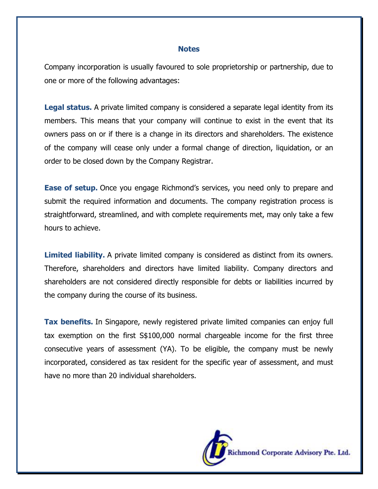#### **Notes**

Company incorporation is usually favoured to sole proprietorship or partnership, due to one or more of the following advantages:

**Legal status.** A private limited company is considered a separate legal identity from its members. This means that your company will continue to exist in the event that its owners pass on or if there is a change in its directors and shareholders. The existence of the company will cease only under a formal change of direction, liquidation, or an order to be closed down by the Company Registrar.

**Ease of setup.** Once you engage Richmond's services, you need only to prepare and submit the required information and documents. The company registration process is straightforward, streamlined, and with complete requirements met, may only take a few hours to achieve.

**Limited liability.** A private limited company is considered as distinct from its owners. Therefore, shareholders and directors have limited liability. Company directors and shareholders are not considered directly responsible for debts or liabilities incurred by the company during the course of its business.

**Tax benefits.** In Singapore, newly registered private limited companies can enjoy full tax exemption on the first S\$100,000 normal chargeable income for the first three consecutive years of assessment (YA). To be eligible, the company must be newly incorporated, considered as tax resident for the specific year of assessment, and must have no more than 20 individual shareholders.